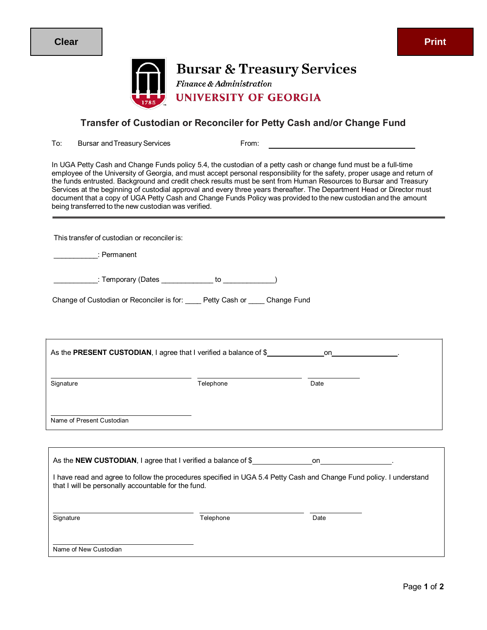

**Bursar & Treasury Services** Finance & Administration **UNIVERSITY OF GEORGIA** 

## **Transfer of Custodian or Reconciler for Petty Cash and/or Change Fund**

To: Bursar and Treasury Services From:

In UGA Petty Cash and Change Funds policy 5.4, the custodian of a petty cash or change fund must be a full-time employee of the University of Georgia, and must accept personal responsibility for the safety, proper usage and return of the funds entrusted. Background and credit check results must be sent from Human Resources to Bursar and Treasury Services at the beginning of custodial approval and every three years thereafter. The Department Head or Director must document that a copy of UGA Petty Cash and Change Funds Policy was provided to the new custodian and the amount being transferred to the new custodian was verified.

This transfer of custodian or reconciler is:

\_\_\_\_\_\_\_\_\_\_\_: Permanent

\_\_\_\_\_: Temporary (Dates \_\_\_\_\_\_\_\_\_\_\_\_\_ to \_\_\_\_\_\_\_\_\_\_\_\_)

Change of Custodian or Reconciler is for: \_\_\_\_ Petty Cash or \_\_\_\_ Change Fund

| As the PRESENT CUSTODIAN, I agree that I verified a balance of $$$ |           | on                                                                                                                  |
|--------------------------------------------------------------------|-----------|---------------------------------------------------------------------------------------------------------------------|
| Signature                                                          | Telephone | Date                                                                                                                |
| Name of Present Custodian                                          |           |                                                                                                                     |
|                                                                    |           |                                                                                                                     |
|                                                                    |           |                                                                                                                     |
| that I will be personally accountable for the fund.                |           | I have read and agree to follow the procedures specified in UGA 5.4 Petty Cash and Change Fund policy. I understand |
| Signature                                                          | Telephone | Date                                                                                                                |

Name of New Custodian